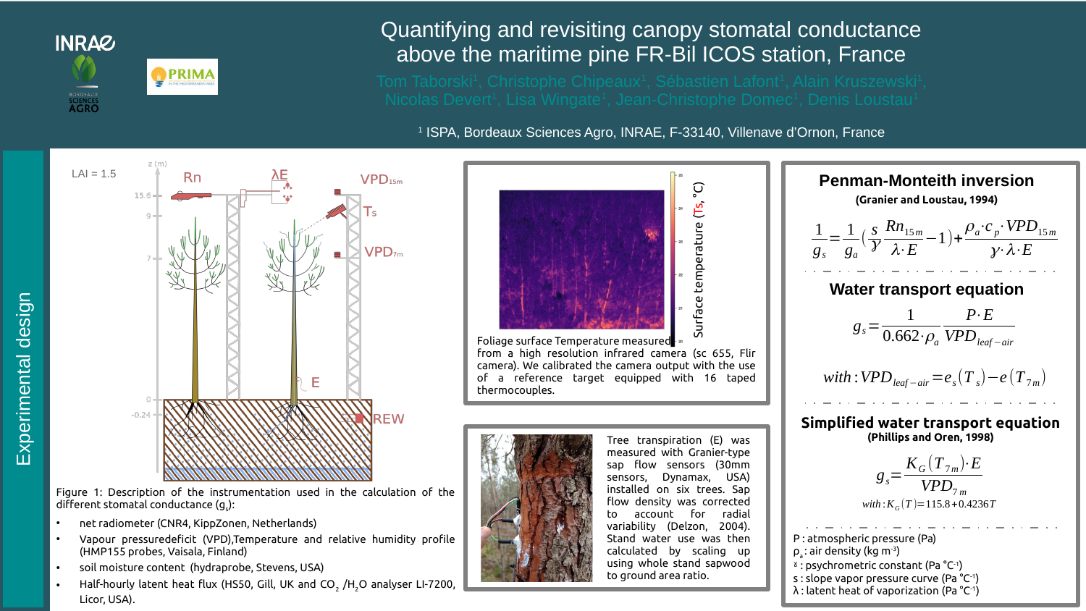

## Quantifying and revisiting canopy stomatal conductance above the maritime pine FR-Bil ICOS station, France

1 ISPA, Bordeaux Sciences Agro, INRAE, F-33140, Villenave d'Ornon, France

to ground area ratio.



- soil moisture content (hydraprobe, Stevens, USA)
- Half-hourly latent heat flux (HS50, Gill, UK and CO $_{_2}$  /H $_{\rm 2}$ O analyser LI-7200, Licor, USA).

s : slope vapor pressure curve (Pa °C-1) λ : latent heat of vaporization (Pa °C-1)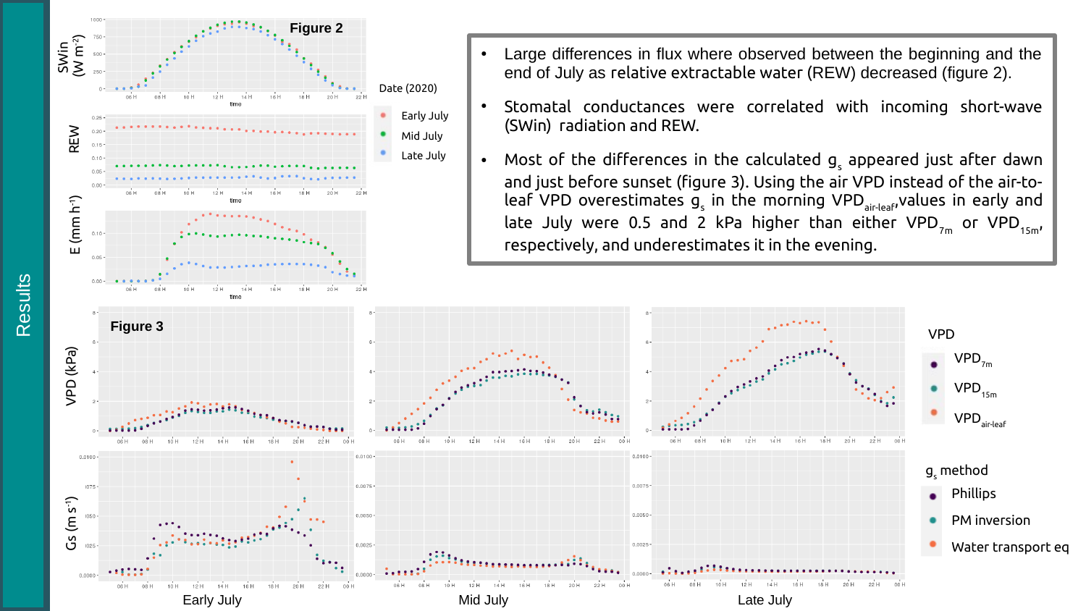

Phillips

 $VPD_{7m}$ 

 $VPD_{15m}$ 

 $\mathsf{VPD}_{\mathsf{air}\text{-}\mathsf{leaf}}$ 

PM inversion

Water transport eq